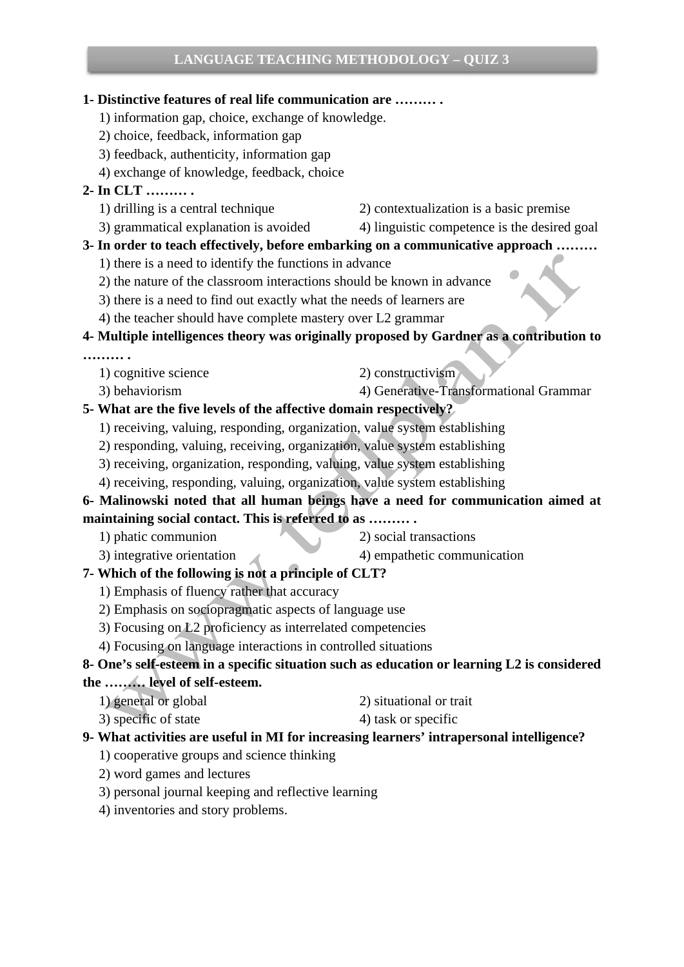### **1- Distinctive features of real life communication are ……… .**

- 1) information gap, choice, exchange of knowledge.
- 2) choice, feedback, information gap
- 3) feedback, authenticity, information gap
- 4) exchange of knowledge, feedback, choice
- **2- In CLT ……… .** 
	-
	- 1) drilling is a central technique 2) contextualization is a basic premise
	- 3) grammatical explanation is avoided 4) linguistic competence is the desired goal

### **3- In order to teach effectively, before embarking on a communicative approach ………**

- 1) there is a need to identify the functions in advance
- 2) the nature of the classroom interactions should be known in advance
- 3) there is a need to find out exactly what the needs of learners are
- 4) the teacher should have complete mastery over L2 grammar

## **4- Multiple intelligences theory was originally proposed by Gardner as a contribution to**

- **……… .** 
	- 1) cognitive science 2) constructivism
- 
- 
- 3) behaviorism 4) Generative-Transformational Grammar

## **5- What are the five levels of the affective domain respectively?**

- 1) receiving, valuing, responding, organization, value system establishing
- 2) responding, valuing, receiving, organization, value system establishing
- 3) receiving, organization, responding, valuing, value system establishing
- 4) receiving, responding, valuing, organization, value system establishing

## **6- Malinowski noted that all human beings have a need for communication aimed at maintaining social contact. This is referred to as ……… .**

- 
- 1) phatic communion 2) social transactions
- 3) integrative orientation 4) empathetic communication
- 
- 
- **7- Which of the following is not a principle of CLT?** 
	- 1) Emphasis of fluency rather that accuracy
	- 2) Emphasis on sociopragmatic aspects of language use
	- 3) Focusing on L2 proficiency as interrelated competencies
	- 4) Focusing on language interactions in controlled situations

# **8- One's self-esteem in a specific situation such as education or learning L2 is considered**

### **the ……… level of self-esteem.**

- 1) general or global 2) situational or trait
	-
- $3)$  specific of state  $4)$  task or specific

### **9- What activities are useful in MI for increasing learners' intrapersonal intelligence?**

- 1) cooperative groups and science thinking
- 2) word games and lectures
- 3) personal journal keeping and reflective learning
- 4) inventories and story problems.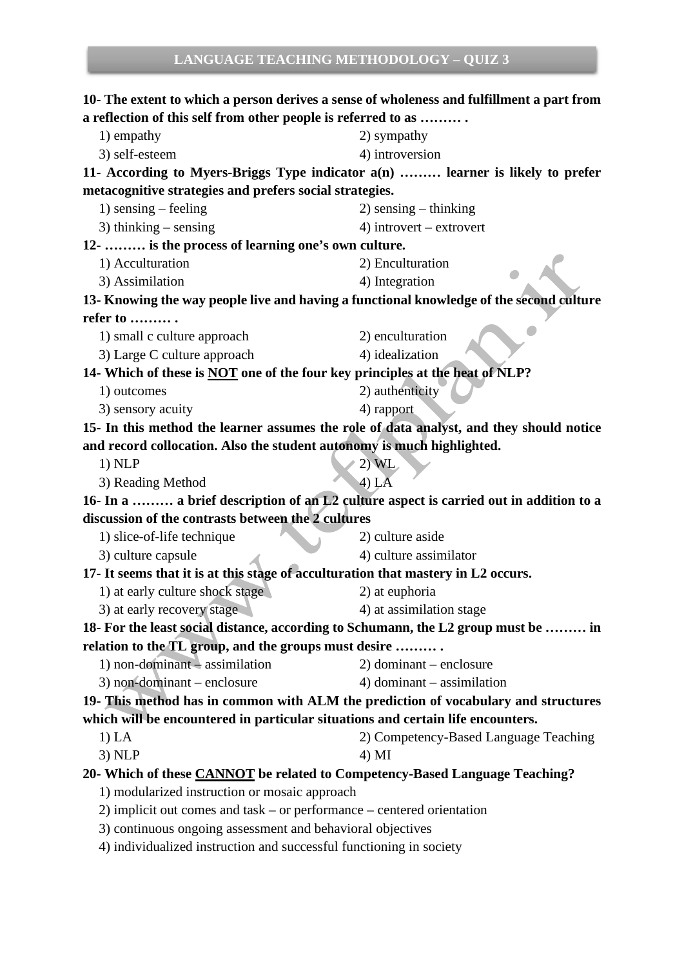**10- The extent to which a person derives a sense of wholeness and fulfillment a part from a reflection of this self from other people is referred to as ……… .**  1) empathy 2) sympathy 3) self-esteem 4) introversion **11- According to Myers-Briggs Type indicator a(n) ……… learner is likely to prefer metacognitive strategies and prefers social strategies.**  1) sensing – feeling 2) sensing – thinking 3) thinking – sensing  $\qquad \qquad$  4) introvert – extrovert **12- ……… is the process of learning one's own culture.**  1) Acculturation 2) Enculturation 3) Assimilation 4) Integration **13- Knowing the way people live and having a functional knowledge of the second culture refer to ……… .** 1) small c culture approach 2) enculturation 3) Large C culture approach 4) idealization **14- Which of these is NOT one of the four key principles at the heat of NLP?**  1) outcomes 2) authenticity 3) sensory acuity 4) rapport **15- In this method the learner assumes the role of data analyst, and they should notice and record collocation. Also the student autonomy is much highlighted.**  1) NLP  $(2)$  WL 3) Reading Method 4) LA **16- In a ……… a brief description of an L2 culture aspect is carried out in addition to a discussion of the contrasts between the 2 cultures**  1) slice-of-life technique 2) culture aside 3) culture capsule 4) culture assimilator **17- It seems that it is at this stage of acculturation that mastery in L2 occurs.**  1) at early culture shock stage 2) at euphoria 3) at early recovery stage 4) at assimilation stage **18- For the least social distance, according to Schumann, the L2 group must be ……… in relation to the TL group, and the groups must desire ……… .**  1) non-dominant – assimilation 2) dominant – enclosure  $3)$  non-dominant – enclosure  $4)$  dominant – assimilation **19- This method has in common with ALM the prediction of vocabulary and structures which will be encountered in particular situations and certain life encounters.**  1) LA 2) Competency-Based Language Teaching  $3)$  NLP  $4)$  MI **20- Which of these CANNOT be related to Competency-Based Language Teaching?**  1) modularized instruction or mosaic approach 2) implicit out comes and task – or performance – centered orientation 3) continuous ongoing assessment and behavioral objectives 4) individualized instruction and successful functioning in society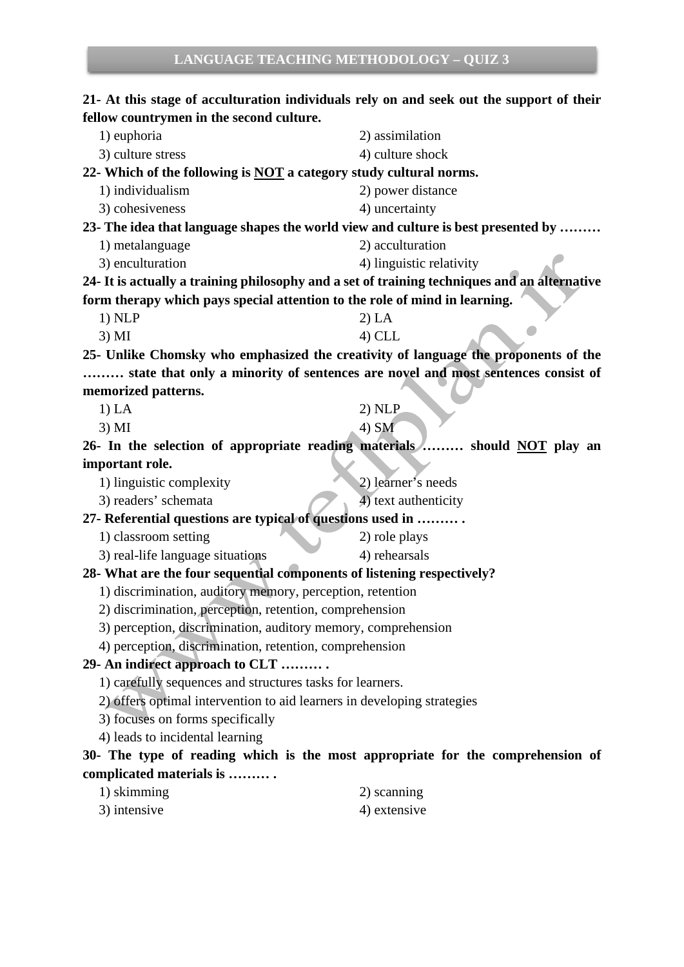## **21- At this stage of acculturation individuals rely on and seek out the support of their fellow countrymen in the second culture.**

| 1) euphoria                                                                                  | 2) assimilation          |
|----------------------------------------------------------------------------------------------|--------------------------|
| 3) culture stress                                                                            | 4) culture shock         |
| 22- Which of the following is NOT a category study cultural norms.                           |                          |
| 1) individualism                                                                             | 2) power distance        |
| 3) cohesiveness                                                                              | 4) uncertainty           |
| 23- The idea that language shapes the world view and culture is best presented by            |                          |
| 1) metalanguage                                                                              | 2) acculturation         |
| 3) enculturation                                                                             | 4) linguistic relativity |
| 24- It is actually a training philosophy and a set of training techniques and an alternative |                          |
| form therapy which pays special attention to the role of mind in learning.                   |                          |
| 1) NLP                                                                                       | 2) LA                    |
| 3) MI                                                                                        | $4)$ CLL                 |
| 25- Unlike Chomsky who emphasized the creativity of language the proponents of the           |                          |
| state that only a minority of sentences are novel and most sentences consist of              |                          |
| memorized patterns.                                                                          |                          |
| 1) LA                                                                                        | 2) NLP                   |
| 3) MI                                                                                        | 4) SM                    |
| 26- In the selection of appropriate reading materials  should NOT play an                    |                          |
| important role.                                                                              |                          |
| 1) linguistic complexity                                                                     | 2) learner's needs       |
| 3) readers' schemata                                                                         | 4) text authenticity     |
| 27- Referential questions are typical of questions used in                                   |                          |
| 1) classroom setting                                                                         | 2) role plays            |
| 3) real-life language situations                                                             | 4) rehearsals            |
| 28- What are the four sequential components of listening respectively?                       |                          |
| 1) discrimination, auditory memory, perception, retention                                    |                          |
| 2) discrimination, perception, retention, comprehension                                      |                          |
| 3) perception, discrimination, auditory memory, comprehension                                |                          |
| 4) perception, discrimination, retention, comprehension                                      |                          |
| 29- An indirect approach to CLT                                                              |                          |
| 1) carefully sequences and structures tasks for learners.                                    |                          |
| 2) offers optimal intervention to aid learners in developing strategies                      |                          |
| 3) focuses on forms specifically                                                             |                          |
| 4) leads to incidental learning                                                              |                          |
| 30- The type of reading which is the most appropriate for the comprehension of               |                          |
| complicated materials is                                                                     |                          |
| $1)$ skimming                                                                                | $2)$ scanning            |

| 1/5          | $\omega$ , symmig |
|--------------|-------------------|
| 3) intensive | 4) extensive      |